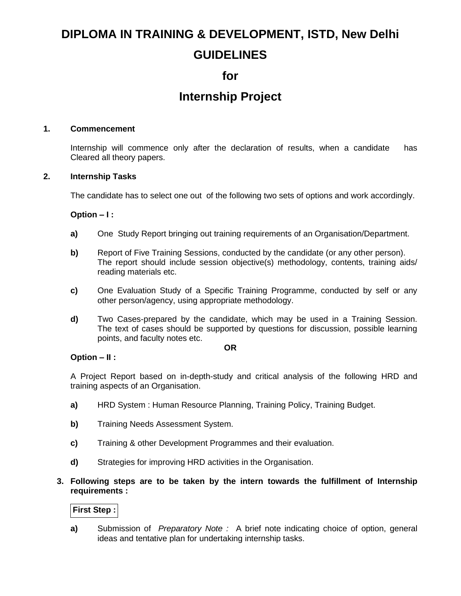# **DIPLOMA IN TRAINING & DEVELOPMENT, ISTD, New Delhi GUIDELINES**

## **for**

# **Internship Project**

## **1. Commencement**

Internship will commence only after the declaration of results, when a candidate has Cleared all theory papers.

## **2. Internship Tasks**

The candidate has to select one out of the following two sets of options and work accordingly.

## **Option – I :**

- **a)** One Study Report bringing out training requirements of an Organisation/Department.
- **b)** Report of Five Training Sessions, conducted by the candidate (or any other person). The report should include session objective(s) methodology, contents, training aids/ reading materials etc.
- **c)** One Evaluation Study of a Specific Training Programme, conducted by self or any other person/agency, using appropriate methodology.
- **d)** Two Cases-prepared by the candidate, which may be used in a Training Session. The text of cases should be supported by questions for discussion, possible learning points, and faculty notes etc.

### **OR**

### **Option – II :**

A Project Report based on in-depth-study and critical analysis of the following HRD and training aspects of an Organisation.

- **a)** HRD System : Human Resource Planning, Training Policy, Training Budget.
- **b)** Training Needs Assessment System.
- **c)** Training & other Development Programmes and their evaluation.
- **d)** Strategies for improving HRD activities in the Organisation.

## **3. Following steps are to be taken by the intern towards the fulfillment of Internship requirements :**

## **First Step :**

**a)** Submission of *Preparatory Note :* A brief note indicating choice of option, general ideas and tentative plan for undertaking internship tasks.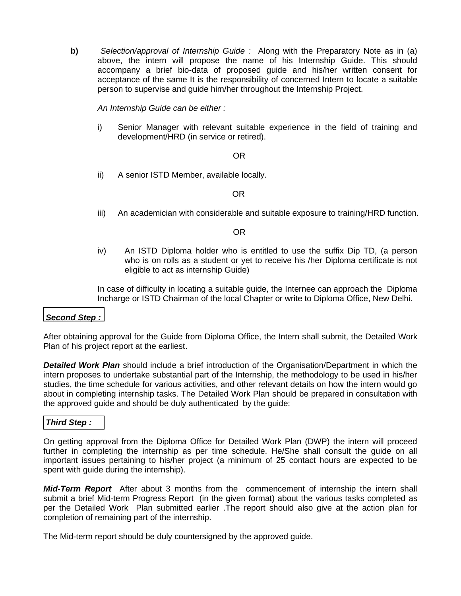**b)** Selection/approval of Internship Guide : Along with the Preparatory Note as in (a) above, the intern will propose the name of his Internship Guide. This should accompany a brief bio-data of proposed guide and his/her written consent for acceptance of the same It is the responsibility of concerned Intern to locate a suitable person to supervise and guide him/her throughout the Internship Project.

*An Internship Guide can be either :*

i) Senior Manager with relevant suitable experience in the field of training and development/HRD (in service or retired).

### **OR** Service Service Service Service Service Service Service Service Service Service Service Service Service Service Service Service Service Service Service Service Service Service Service Service Service Service Service S

ii) A senior ISTD Member, available locally.

OR

iii) An academician with considerable and suitable exposure to training/HRD function.

OR

iv) An ISTD Diploma holder who is entitled to use the suffix Dip TD, (a person who is on rolls as a student or yet to receive his /her Diploma certificate is not eligible to act as internship Guide)

In case of difficulty in locating a suitable guide, the Internee can approach the Diploma Incharge or ISTD Chairman of the local Chapter or write to Diploma Office, New Delhi.

### *Second Step :*

After obtaining approval for the Guide from Diploma Office, the Intern shall submit, the Detailed Work Plan of his project report at the earliest.

*Detailed Work Plan* should include a brief introduction of the Organisation/Department in which the intern proposes to undertake substantial part of the Internship, the methodology to be used in his/her studies, the time schedule for various activities, and other relevant details on how the intern would go about in completing internship tasks. The Detailed Work Plan should be prepared in consultation with the approved guide and should be duly authenticated by the guide:

### *Third Step :*

On getting approval from the Diploma Office for Detailed Work Plan (DWP) the intern will proceed further in completing the internship as per time schedule. He/She shall consult the guide on all important issues pertaining to his/her project (a minimum of 25 contact hours are expected to be spent with guide during the internship).

*Mid-Term Report* After about 3 months from the commencement of internship the intern shall submit a brief Mid-term Progress Report (in the given format) about the various tasks completed as per the Detailed Work Plan submitted earlier .The report should also give at the action plan for completion of remaining part of the internship.

The Mid-term report should be duly countersigned by the approved guide.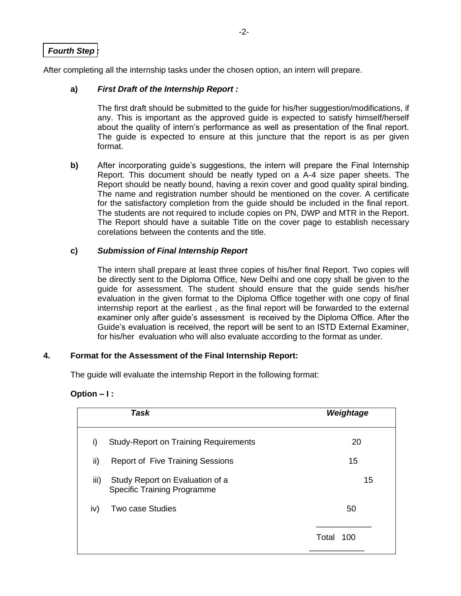## *Fourth Step :*

After completing all the internship tasks under the chosen option, an intern will prepare.

## **a)** *First Draft of the Internship Report :*

The first draft should be submitted to the guide for his/her suggestion/modifications, if any. This is important as the approved guide is expected to satisfy himself/herself about the quality of intern's performance as well as presentation of the final report. The guide is expected to ensure at this juncture that the report is as per given format.

**b)** After incorporating guide's suggestions, the intern will prepare the Final Internship Report. This document should be neatly typed on a A-4 size paper sheets. The Report should be neatly bound, having a rexin cover and good quality spiral binding. The name and registration number should be mentioned on the cover. A certificate for the satisfactory completion from the guide should be included in the final report. The students are not required to include copies on PN, DWP and MTR in the Report. The Report should have a suitable Title on the cover page to establish necessary corelations between the contents and the title.

## **c)** *Submission of Final Internship Report*

The intern shall prepare at least three copies of his/her final Report. Two copies will be directly sent to the Diploma Office, New Delhi and one copy shall be given to the guide for assessment. The student should ensure that the guide sends his/her evaluation in the given format to the Diploma Office together with one copy of final internship report at the earliest , as the final report will be forwarded to the external examiner only after guide's assessment is received by the Diploma Office. After the Guide's evaluation is received, the report will be sent to an ISTD External Examiner, for his/her evaluation who will also evaluate according to the format as under.

## **4. Format for the Assessment of the Final Internship Report:**

The guide will evaluate the internship Report in the following format:

| Option – I : |  |  |  |  |  |  |  |  |
|--------------|--|--|--|--|--|--|--|--|
|--------------|--|--|--|--|--|--|--|--|

|      | Task                                                                  | Weightage    |
|------|-----------------------------------------------------------------------|--------------|
| i)   | <b>Study-Report on Training Requirements</b>                          | 20           |
| ii)  | <b>Report of Five Training Sessions</b>                               | 15           |
| iii) | Study Report on Evaluation of a<br><b>Specific Training Programme</b> | 15           |
| iv)  | <b>Two case Studies</b>                                               | 50           |
|      |                                                                       | Total<br>100 |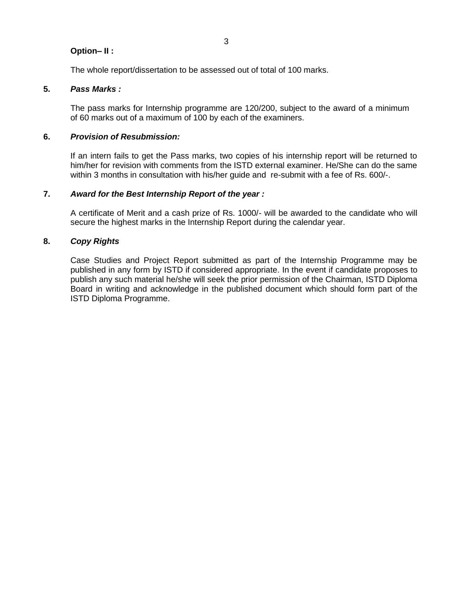## **Option– II :**

The whole report/dissertation to be assessed out of total of 100 marks.

## **5.** *Pass Marks :*

The pass marks for Internship programme are 120/200, subject to the award of a minimum of 60 marks out of a maximum of 100 by each of the examiners.

## **6.** *Provision of Resubmission:*

If an intern fails to get the Pass marks, two copies of his internship report will be returned to him/her for revision with comments from the ISTD external examiner. He/She can do the same within 3 months in consultation with his/her guide and re-submit with a fee of Rs. 600/-.

## **7.** *Award for the Best Internship Report of the year :*

A certificate of Merit and a cash prize of Rs. 1000/- will be awarded to the candidate who will secure the highest marks in the Internship Report during the calendar year.

## **8.** *Copy Rights*

Case Studies and Project Report submitted as part of the Internship Programme may be published in any form by ISTD if considered appropriate. In the event if candidate proposes to publish any such material he/she will seek the prior permission of the Chairman, ISTD Diploma Board in writing and acknowledge in the published document which should form part of the ISTD Diploma Programme.